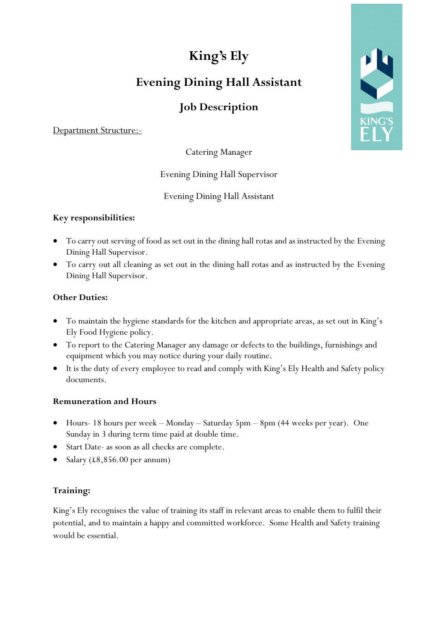# **King's Ely**

## **Evening Dining Hall Assistant**

### **Job Description**

Department Structure:-

Catering Manager

#### Evening Dining Hall Supervisor

Evening Dining Hall Assistant

#### **Key responsibilities:**

- To carry out serving of food as set out in the dining hall rotas and as instructed by the Evening Dining Hall Supervisor.
- To carry out all cleaning as set out in the dining hall rotas and as instructed by the Evening Dining Hall Supervisor.

#### **Other Duties:**

- To maintain the hygiene standards for the kitchen and appropriate areas, as set out in King's Ely Food Hygiene policy.
- To report to the Catering Manager any damage or defects to the buildings, furnishings and equipment which you may notice during your daily routine.
- It is the duty of every employee to read and comply with King's Ely Health and Safety policy documents.

#### **Remuneration and Hours**

- Hours- 18 hours per week Monday Saturday 5pm 8pm (44 weeks per year). One Sunday in 3 during term time paid at double time.
- Start Date- as soon as all checks are complete.
- Salary (£8,856.00 per annum)

#### **Training:**

King's Ely recognises the value of training its staff in relevant areas to enable them to fulfil their potential, and to maintain a happy and committed workforce. Some Health and Safety training would be essential.